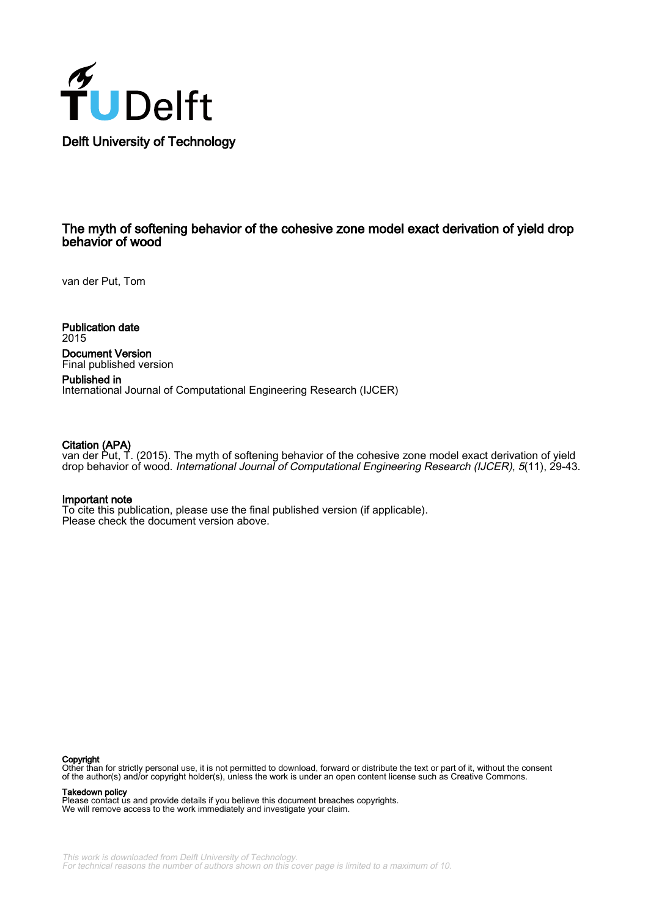

# The myth of softening behavior of the cohesive zone model exact derivation of yield drop behavior of wood

van der Put, Tom

Publication date 2015

Document Version Final published version

Published in International Journal of Computational Engineering Research (IJCER)

#### Citation (APA)

van der Put, T. (2015). The myth of softening behavior of the cohesive zone model exact derivation of yield drop behavior of wood. *International Journal of Computational Engineering Research (IJCER), 5*(11), 29-43.

#### Important note

To cite this publication, please use the final published version (if applicable). Please check the document version above.

#### Copyright

Other than for strictly personal use, it is not permitted to download, forward or distribute the text or part of it, without the consent of the author(s) and/or copyright holder(s), unless the work is under an open content license such as Creative Commons.

#### Takedown policy

Please contact us and provide details if you believe this document breaches copyrights. We will remove access to the work immediately and investigate your claim.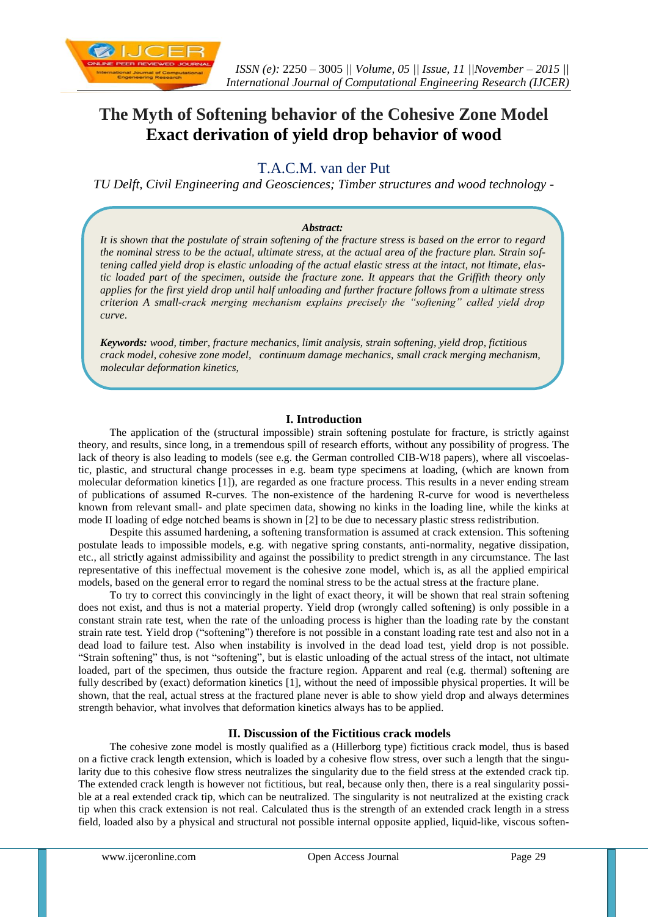

# **The Myth of Softening behavior of the Cohesive Zone Model Exact derivation of yield drop behavior of wood**

# T.A.C.M. van der Put

*TU Delft, Civil Engineering and Geosciences; Timber structures and wood technology -*

# *Abstract:*

*It is shown that the postulate of strain softening of the fracture stress is based on the error to regard the nominal stress to be the actual, ultimate stress, at the actual area of the fracture plan. Strain softening called yield drop is elastic unloading of the actual elastic stress at the intact, not ltimate, elastic loaded part of the specimen, outside the fracture zone. It appears that the Griffith theory only applies for the first yield drop until half unloading and further fracture follows from a ultimate stress criterion A small-crack merging mechanism explains precisely the "softening" called yield drop curve*.

*Keywords: wood, timber, fracture mechanics, limit analysis, strain softening, yield drop, fictitious crack model, cohesive zone model, continuum damage mechanics, small crack merging mechanism, molecular deformation kinetics,* 

# **I. Introduction**

The application of the (structural impossible) strain softening postulate for fracture, is strictly against theory, and results, since long, in a tremendous spill of research efforts, without any possibility of progress. The lack of theory is also leading to models (see e.g. the German controlled CIB-W18 papers), where all viscoelastic, plastic, and structural change processes in e.g. beam type specimens at loading, (which are known from molecular deformation kinetics [1]), are regarded as one fracture process. This results in a never ending stream of publications of assumed R-curves. The non-existence of the hardening R-curve for wood is nevertheless known from relevant small- and plate specimen data, showing no kinks in the loading line, while the kinks at mode II loading of edge notched beams is shown in [2] to be due to necessary plastic stress redistribution.

Despite this assumed hardening, a softening transformation is assumed at crack extension. This softening postulate leads to impossible models, e.g. with negative spring constants, anti-normality, negative dissipation, etc., all strictly against admissibility and against the possibility to predict strength in any circumstance. The last representative of this ineffectual movement is the cohesive zone model, which is, as all the applied empirical models, based on the general error to regard the nominal stress to be the actual stress at the fracture plane.

To try to correct this convincingly in the light of exact theory, it will be shown that real strain softening does not exist, and thus is not a material property. Yield drop (wrongly called softening) is only possible in a constant strain rate test, when the rate of the unloading process is higher than the loading rate by the constant strain rate test. Yield drop ("softening") therefore is not possible in a constant loading rate test and also not in a dead load to failure test. Also when instability is involved in the dead load test, yield drop is not possible. "Strain softening" thus, is not "softening", but is elastic unloading of the actual stress of the intact, not ultimate loaded, part of the specimen, thus outside the fracture region. Apparent and real (e.g. thermal) softening are fully described by (exact) deformation kinetics [1], without the need of impossible physical properties. It will be shown, that the real, actual stress at the fractured plane never is able to show yield drop and always determines strength behavior, what involves that deformation kinetics always has to be applied.

# **II. Discussion of the Fictitious crack models**

The cohesive zone model is mostly qualified as a (Hillerborg type) fictitious crack model, thus is based on a fictive crack length extension, which is loaded by a cohesive flow stress, over such a length that the singularity due to this cohesive flow stress neutralizes the singularity due to the field stress at the extended crack tip. The extended crack length is however not fictitious, but real, because only then, there is a real singularity possible at a real extended crack tip, which can be neutralized. The singularity is not neutralized at the existing crack tip when this crack extension is not real. Calculated thus is the strength of an extended crack length in a stress field, loaded also by a physical and structural not possible internal opposite applied, liquid-like, viscous soften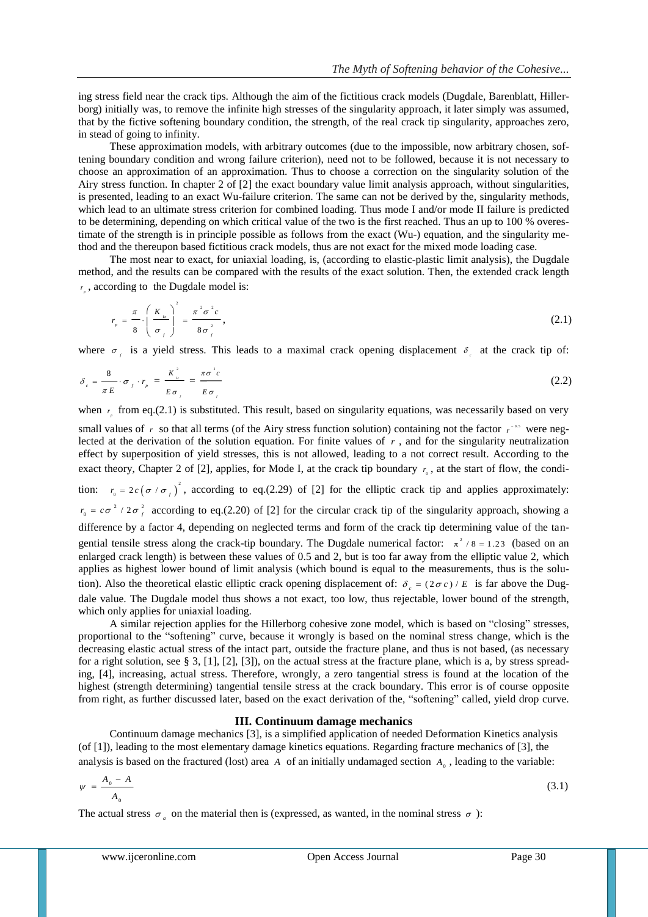ing stress field near the crack tips. Although the aim of the fictitious crack models (Dugdale, Barenblatt, Hillerborg) initially was, to remove the infinite high stresses of the singularity approach, it later simply was assumed, that by the fictive softening boundary condition, the strength, of the real crack tip singularity, approaches zero, in stead of going to infinity.

These approximation models, with arbitrary outcomes (due to the impossible, now arbitrary chosen, softening boundary condition and wrong failure criterion), need not to be followed, because it is not necessary to choose an approximation of an approximation. Thus to choose a correction on the singularity solution of the Airy stress function. In chapter 2 of [2] the exact boundary value limit analysis approach, without singularities, is presented, leading to an exact Wu-failure criterion. The same can not be derived by the, singularity methods, which lead to an ultimate stress criterion for combined loading. Thus mode I and/or mode II failure is predicted to be determining, depending on which critical value of the two is the first reached. Thus an up to 100 % overestimate of the strength is in principle possible as follows from the exact (Wu-) equation, and the singularity method and the thereupon based fictitious crack models, thus are not exact for the mixed mode loading case.

The most near to exact, for uniaxial loading, is, (according to elastic-plastic limit analysis), the Dugdale method, and the results can be compared with the results of the exact solution. Then, the extended crack length *p <sup>r</sup>* , according to the Dugdale model is:

$$
r_{p} = \frac{\pi}{8} \cdot \left(\frac{K_{Ic}}{\sigma_{f}}\right)^{2} = \frac{\pi^{2} \sigma^{2} c}{8 \sigma_{f}^{2}},
$$
\n(2.1)

where  $\sigma_i$  is a yield stress. This leads to a maximal crack opening displacement  $\delta_i$  at the crack tip of:

$$
\delta_c = \frac{8}{\pi E} \cdot \sigma_f \cdot r_p = \frac{K_{\kappa}^2}{E \sigma_f} = \frac{\pi \sigma^2 c}{E \sigma_f}
$$
\n(2.2)

when  $r_{\rm g}$  from eq.(2.1) is substituted. This result, based on singularity equations, was necessarily based on very

small values of  $r$  so that all terms (of the Airy stress function solution) containing not the factor  $r^{-0.5}$  were neglected at the derivation of the solution equation. For finite values of  $r$ , and for the singularity neutralization effect by superposition of yield stresses, this is not allowed, leading to a not correct result. According to the exact theory, Chapter 2 of [2], applies, for Mode I, at the crack tip boundary  $r_0$ , at the start of flow, the condition:  $r_0 = 2c(\sigma / \sigma_f)^2$  $r_0 = 2c(\sigma/\sigma_f)$ , according to eq.(2.29) of [2] for the elliptic crack tip and applies approximately:  $r_0 = c\sigma^2/2\sigma_f^2$  according to eq.(2.20) of [2] for the circular crack tip of the singularity approach, showing a difference by a factor 4, depending on neglected terms and form of the crack tip determining value of the tan-

gential tensile stress along the crack-tip boundary. The Dugdale numerical factor:  $\pi^2$  /8 = 1.23 (based on an enlarged crack length) is between these values of 0.5 and 2, but is too far away from the elliptic value 2, which applies as highest lower bound of limit analysis (which bound is equal to the measurements, thus is the solution). Also the theoretical elastic elliptic crack opening displacement of:  $\delta_c = (2\sigma c)/E$  is far above the Dugdale value. The Dugdale model thus shows a not exact, too low, thus rejectable, lower bound of the strength, which only applies for uniaxial loading.

A similar rejection applies for the Hillerborg cohesive zone model, which is based on "closing" stresses, proportional to the "softening" curve, because it wrongly is based on the nominal stress change, which is the decreasing elastic actual stress of the intact part, outside the fracture plane, and thus is not based, (as necessary for a right solution, see § 3, [1], [2], [3]), on the actual stress at the fracture plane, which is a, by stress spreading, [4], increasing, actual stress. Therefore, wrongly, a zero tangential stress is found at the location of the highest (strength determining) tangential tensile stress at the crack boundary. This error is of course opposite from right, as further discussed later, based on the exact derivation of the, "softening" called, yield drop curve.

## **III. Continuum damage mechanics**

Continuum damage mechanics [3], is a simplified application of needed Deformation Kinetics analysis (of [1]), leading to the most elementary damage kinetics equations. Regarding fracture mechanics of [3], the analysis is based on the fractured (lost) area  $A$  of an initially undamaged section  $A_0$ , leading to the variable:

$$
\psi = \frac{A_0 - A}{A_0} \tag{3.1}
$$

The actual stress  $\sigma_a$  on the material then is (expressed, as wanted, in the nominal stress  $\sigma$ ):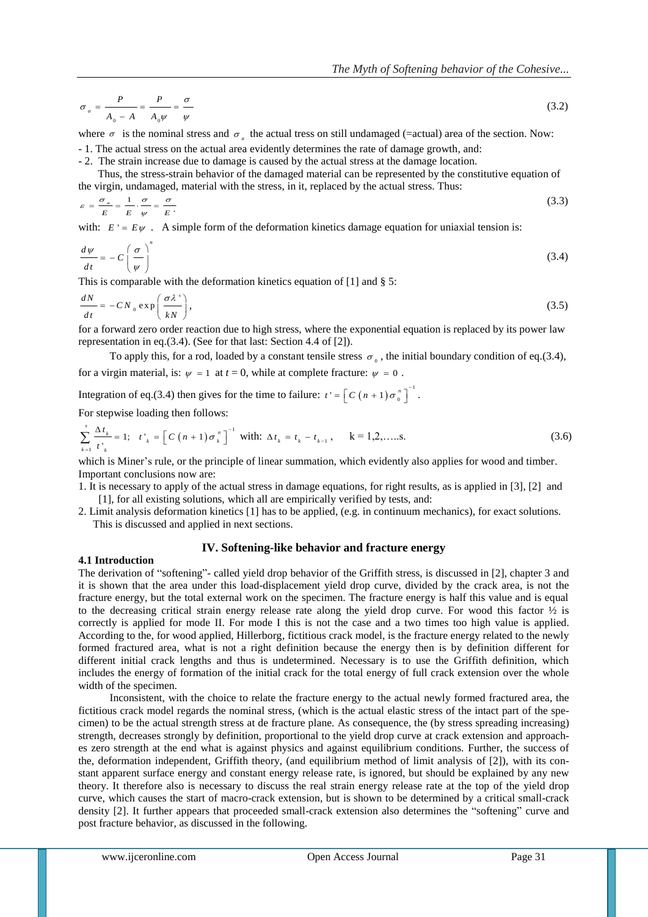$$
\sigma_a = \frac{P}{A_0 - A} = \frac{P}{A_0 \psi} = \frac{\sigma}{\psi} \tag{3.2}
$$

where  $\sigma$  is the nominal stress and  $\sigma_a$  the actual tress on still undamaged (=actual) area of the section. Now:

- 1. The actual stress on the actual area evidently determines the rate of damage growth, and:

- 2. The strain increase due to damage is caused by the actual stress at the damage location.

Thus, the stress-strain behavior of the damaged material can be represented by the constitutive equation of the virgin, undamaged, material with the stress, in it, replaced by the actual stress. Thus:

$$
\varepsilon = \frac{\sigma_a}{E} = \frac{1}{E} \cdot \frac{\sigma}{\psi} = \frac{\sigma}{E} \tag{3.3}
$$

with:  $E' = E\psi$ . A simple form of the deformation kinetics damage equation for uniaxial tension is:

$$
\frac{d\psi}{dt} = -C\left(\frac{\sigma}{\psi}\right)^n\tag{3.4}
$$

This is comparable with the deformation kinetics equation of [1] and § 5:

$$
\frac{dN}{dt} = -CN_0 \exp\left(\frac{\sigma \lambda^{\prime}}{kN}\right),\tag{3.5}
$$

for a forward zero order reaction due to high stress, where the exponential equation is replaced by its power law representation in eq.(3.4). (See for that last: Section 4.4 of [2]).

To apply this, for a rod, loaded by a constant tensile stress  $\sigma_0$ , the initial boundary condition of eq.(3.4), for a virgin material, is:  $\psi = 1$  at  $t = 0$ , while at complete fracture:  $\psi = 0$ .

Integration of eq.(3.4) then gives for the time to failure:  $t' = \left[ C(n+1) \sigma_0^{n} \right]^{-1}$  $t' = \left[ C \left( n + 1 \right) \sigma_0^n \right]^{-1}.$ 

For stepwise loading then follows:

$$
\sum_{k=1}^{s} \frac{\Delta t_k}{t_{k}^{\prime}} = 1; \quad t_{k}^{\prime} = \left[ C \left( n + 1 \right) \sigma_{k}^{n} \right]^{-1} \text{ with: } \Delta t_k = t_k - t_{k-1}, \qquad k = 1, 2, \dots. \tag{3.6}
$$

which is Miner's rule, or the principle of linear summation, which evidently also applies for wood and timber. Important conclusions now are:

- 1. It is necessary to apply of the actual stress in damage equations, for right results, as is applied in [3], [2] and [1], for all existing solutions, which all are empirically verified by tests, and:
- 2. Limit analysis deformation kinetics [1] has to be applied, (e.g. in continuum mechanics), for exact solutions. This is discussed and applied in next sections.

# **IV. Softening-like behavior and fracture energy**

# **4.1 Introduction**

The derivation of "softening"- called yield drop behavior of the Griffith stress, is discussed in [2], chapter 3 and it is shown that the area under this load-displacement yield drop curve, divided by the crack area, is not the fracture energy, but the total external work on the specimen. The fracture energy is half this value and is equal to the decreasing critical strain energy release rate along the yield drop curve. For wood this factor ½ is correctly is applied for mode II. For mode I this is not the case and a two times too high value is applied. According to the, for wood applied, Hillerborg, fictitious crack model, is the fracture energy related to the newly formed fractured area, what is not a right definition because the energy then is by definition different for different initial crack lengths and thus is undetermined. Necessary is to use the Griffith definition, which includes the energy of formation of the initial crack for the total energy of full crack extension over the whole width of the specimen.

Inconsistent, with the choice to relate the fracture energy to the actual newly formed fractured area, the fictitious crack model regards the nominal stress, (which is the actual elastic stress of the intact part of the specimen) to be the actual strength stress at de fracture plane. As consequence, the (by stress spreading increasing) strength, decreases strongly by definition, proportional to the yield drop curve at crack extension and approaches zero strength at the end what is against physics and against equilibrium conditions. Further, the success of the, deformation independent, Griffith theory, (and equilibrium method of limit analysis of [2]), with its constant apparent surface energy and constant energy release rate, is ignored, but should be explained by any new theory. It therefore also is necessary to discuss the real strain energy release rate at the top of the yield drop curve, which causes the start of macro-crack extension, but is shown to be determined by a critical small-crack density [2]. It further appears that proceeded small-crack extension also determines the "softening" curve and post fracture behavior, as discussed in the following.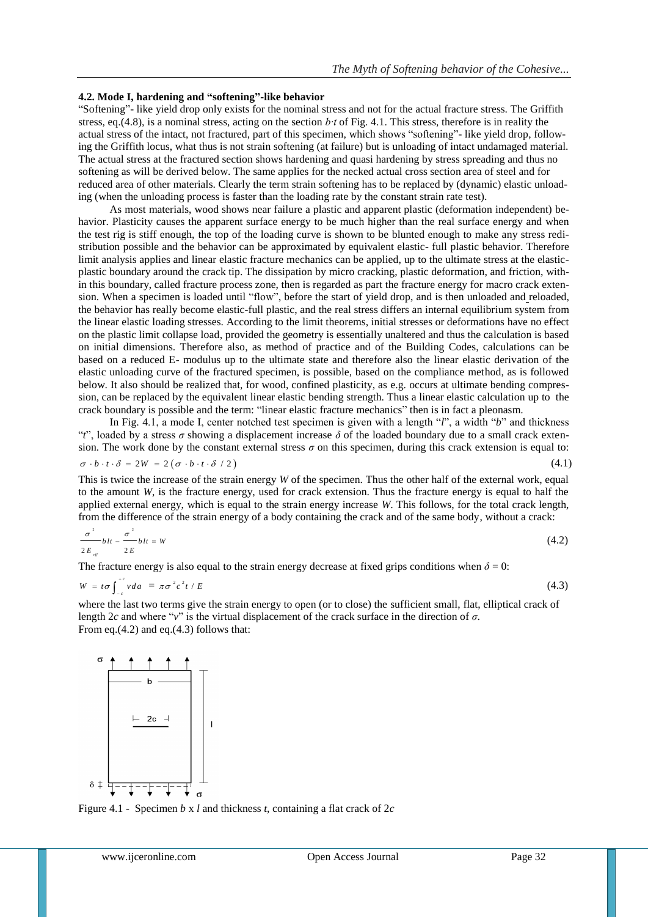#### **4.2. Mode I, hardening and "softening"-like behavior**

"Softening"- like yield drop only exists for the nominal stress and not for the actual fracture stress. The Griffith stress, eq.(4.8), is a nominal stress, acting on the section *b∙t* of Fig. 4.1. This stress, therefore is in reality the actual stress of the intact, not fractured, part of this specimen, which shows "softening"- like yield drop, following the Griffith locus, what thus is not strain softening (at failure) but is unloading of intact undamaged material. The actual stress at the fractured section shows hardening and quasi hardening by stress spreading and thus no softening as will be derived below. The same applies for the necked actual cross section area of steel and for reduced area of other materials. Clearly the term strain softening has to be replaced by (dynamic) elastic unloading (when the unloading process is faster than the loading rate by the constant strain rate test).

As most materials, wood shows near failure a plastic and apparent plastic (deformation independent) behavior. Plasticity causes the apparent surface energy to be much higher than the real surface energy and when the test rig is stiff enough, the top of the loading curve is shown to be blunted enough to make any stress redistribution possible and the behavior can be approximated by equivalent elastic- full plastic behavior. Therefore limit analysis applies and linear elastic fracture mechanics can be applied, up to the ultimate stress at the elasticplastic boundary around the crack tip. The dissipation by micro cracking, plastic deformation, and friction, within this boundary, called fracture process zone, then is regarded as part the fracture energy for macro crack extension. When a specimen is loaded until "flow", before the start of yield drop, and is then unloaded and reloaded, the behavior has really become elastic-full plastic, and the real stress differs an internal equilibrium system from the linear elastic loading stresses. According to the limit theorems, initial stresses or deformations have no effect on the plastic limit collapse load, provided the geometry is essentially unaltered and thus the calculation is based on initial dimensions. Therefore also, as method of practice and of the Building Codes, calculations can be based on a reduced E- modulus up to the ultimate state and therefore also the linear elastic derivation of the elastic unloading curve of the fractured specimen, is possible, based on the compliance method, as is followed below. It also should be realized that, for wood, confined plasticity, as e.g. occurs at ultimate bending compression, can be replaced by the equivalent linear elastic bending strength. Thus a linear elastic calculation up to the crack boundary is possible and the term: "linear elastic fracture mechanics" then is in fact a pleonasm.

In Fig. 4.1, a mode I, center notched test specimen is given with a length "*l*", a width "*b*" and thickness "*t*", loaded by a stress *σ* showing a displacement increase *δ* of the loaded boundary due to a small crack extension. The work done by the constant external stress *σ* on this specimen, during this crack extension is equal to: (4.1)

$$
\sigma \cdot b \cdot t \cdot \delta = 2W = 2(\sigma \cdot b \cdot t \cdot \delta / 2)
$$

This is twice the increase of the strain energy *W* of the specimen. Thus the other half of the external work, equal to the amount *W*, is the fracture energy, used for crack extension. Thus the fracture energy is equal to half the applied external energy, which is equal to the strain energy increase *W*. This follows, for the total crack length, from the difference of the strain energy of a body containing the crack and of the same body, without a crack:

$$
\frac{\sigma^2}{2E_{eq}}bIt - \frac{\sigma^2}{2E}bt = W
$$
\n(4.2)

The fracture energy is also equal to the strain energy decrease at fixed grips conditions when  $\delta = 0$ :

$$
W = t\sigma \int_{-c}^{+c} v \, da = \pi \sigma^2 c^2 t / E \tag{4.3}
$$

where the last two terms give the strain energy to open (or to close) the sufficient small, flat, elliptical crack of length 2*c* and where "*v*" is the virtual displacement of the crack surface in the direction of *σ*. From eq.(4.2) and eq.(4.3) follows that:



Figure 4.1 - Specimen *b* x *l* and thickness *t*, containing a flat crack of 2*c*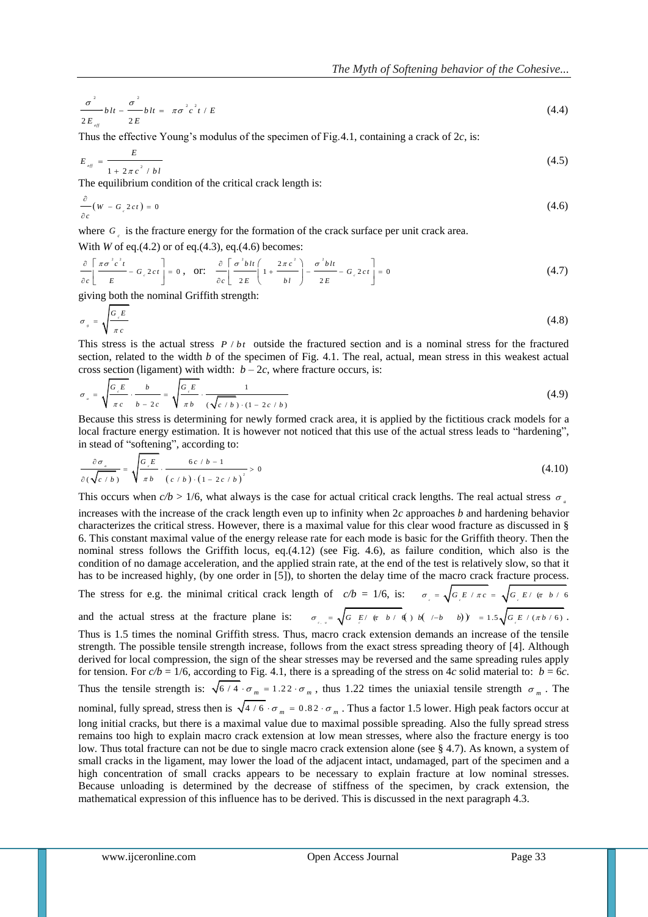$$
\frac{\sigma^2}{2E_{\text{eff}}}bh - \frac{\sigma^2}{2E}bh = \pi \sigma^2 c^2 t / E \tag{4.4}
$$

Thus the effective Young's modulus of the specimen of Fig.4.1, containing a crack of 2*c*, is:

$$
E_{eq} = \frac{E}{1 + 2\pi c^2 / bl}
$$
 (4.5)

The equilibrium condition of the critical crack length is:

$$
\frac{\partial}{\partial c}(W - G_{c} 2ct) = 0 \tag{4.6}
$$

where  $G_{\epsilon}$  is the fracture energy for the formation of the crack surface per unit crack area.

With *W* of eq.(4.2) or of eq.(4.3), eq.(4.6) becomes:

$$
\frac{\partial}{\partial c} \left[ \frac{\pi \sigma^2 c^2 t}{E} - G_c 2ct \right] = 0, \quad \text{or:} \quad \frac{\partial}{\partial c} \left[ \frac{\sigma^2 b t t}{2E} \left( 1 + \frac{2\pi c^2}{b t} \right) - \frac{\sigma^2 b t t}{2E} - G_c 2ct \right] = 0 \tag{4.7}
$$

giving both the nominal Griffith strength:

$$
\sigma_{s} = \sqrt{\frac{G_{s}E}{\pi c}}
$$
\n(4.8)

This stress is the actual stress  $P / bt$  outside the fractured section and is a nominal stress for the fractured section, related to the width *b* of the specimen of Fig. 4.1. The real, actual, mean stress in this weakest actual cross section (ligament) with width:  $b - 2c$ , where fracture occurs, is:

$$
\sigma_{a} = \sqrt{\frac{G_{c}E}{\pi c}} \cdot \frac{b}{b - 2c} = \sqrt{\frac{G_{c}E}{\pi b}} \cdot \frac{1}{(\sqrt{c/b}) \cdot (1 - 2c/b)}
$$
(4.9)

Because this stress is determining for newly formed crack area, it is applied by the fictitious crack models for a local fracture energy estimation. It is however not noticed that this use of the actual stress leads to "hardening", in stead of "softening", according to:

$$
\frac{\partial \sigma_{a}}{\partial (\sqrt{c/b})} = \sqrt{\frac{G_{c}E}{\pi b}} \cdot \frac{6c/b-1}{(c/b) \cdot (1-2c/b)^{2}} > 0
$$
\n(4.10)

This occurs when  $c/b > 1/6$ , what always is the case for actual critical crack lengths. The real actual stress  $\sigma_a$ increases with the increase of the crack length even up to infinity when 2*c* approaches *b* and hardening behavior characterizes the critical stress. However, there is a maximal value for this clear wood fracture as discussed in § 6. This constant maximal value of the energy release rate for each mode is basic for the Griffith theory. Then the nominal stress follows the Griffith locus, eq.(4.12) (see Fig. 4.6), as failure condition, which also is the condition of no damage acceleration, and the applied strain rate, at the end of the test is relatively slow, so that it has to be increased highly, (by one order in [5]), to shorten the delay time of the macro crack fracture process.

# The stress for e.g. the minimal critical crack length of  $c/b = 1/6$ , is:  $\sigma_e = \sqrt{G_e E / \pi c} = \sqrt{G_e E / (\pi b / 6)}$ and the actual stress at the fracture plane is:  $\sigma_{_{c,x}} = \sqrt{G_{_{c,x}}E / (\pi b / d)}$  (*j* b( /-b ) ) = 1.5  $\sqrt{G_{_{c}E} / (\pi b / 6)}$ .

w.  $\frac{d^2}{dx^2}$  is  $x = \sec^2 x^2/2$ <br>
where  $\frac{d^2}{dx^2}$  is the effective Yeung's modulus of the specimen of Fig.4.1, containing a rack of  $2c_1$  is  $\sec^2 x$  is the effective Yeung's modulus of the critical crack heapth is:<br> Thus is 1.5 times the nominal Griffith stress. Thus, macro crack extension demands an increase of the tensile strength. The possible tensile strength increase, follows from the exact stress spreading theory of [4]. Although derived for local compression, the sign of the shear stresses may be reversed and the same spreading rules apply for tension. For  $c/b = 1/6$ , according to Fig. 4.1, there is a spreading of the stress on 4*c* solid material to:  $b = 6c$ . Thus the tensile strength is:  $\sqrt{6/4} \cdot \sigma_m = 1.22 \cdot \sigma_m$ , thus 1.22 times the uniaxial tensile strength  $\sigma_m$ . The nominal, fully spread, stress then is  $\sqrt{4/6} \cdot \sigma_m = 0.82 \cdot \sigma_m$ . Thus a factor 1.5 lower. High peak factors occur at long initial cracks, but there is a maximal value due to maximal possible spreading. Also the fully spread stress remains too high to explain macro crack extension at low mean stresses, where also the fracture energy is too low. Thus total fracture can not be due to single macro crack extension alone (see § 4.7). As known, a system of small cracks in the ligament, may lower the load of the adjacent intact, undamaged, part of the specimen and a high concentration of small cracks appears to be necessary to explain fracture at low nominal stresses. Because unloading is determined by the decrease of stiffness of the specimen, by crack extension, the mathematical expression of this influence has to be derived. This is discussed in the next paragraph 4.3.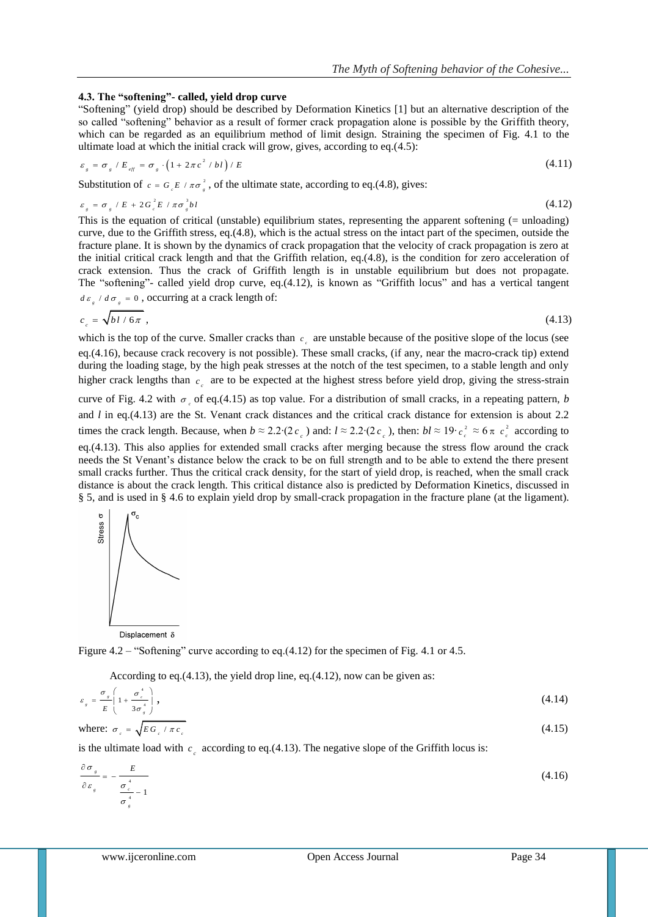#### **4.3. The "softening"- called, yield drop curve**

"Softening" (yield drop) should be described by Deformation Kinetics [1] but an alternative description of the so called "softening" behavior as a result of former crack propagation alone is possible by the Griffith theory, which can be regarded as an equilibrium method of limit design. Straining the specimen of Fig. 4.1 to the ultimate load at which the initial crack will grow, gives, according to eq.(4.5):

$$
\varepsilon_{s} = \sigma_{s} / E_{\text{eff}} = \sigma_{s} \cdot \left(1 + 2\pi c^{2} / bl\right) / E \tag{4.11}
$$

Substitution of  $c = G_e E / \pi \sigma_g^2$ , of the ultimate state, according to eq.(4.8), gives:

$$
\varepsilon_{s} = \sigma_{s} / E + 2G_{c}^{2} E / \pi \sigma_{s}^{3} bl \tag{4.12}
$$

This is the equation of critical (unstable) equilibrium states, representing the apparent softening (= unloading) curve, due to the Griffith stress, eq.(4.8), which is the actual stress on the intact part of the specimen, outside the fracture plane. It is shown by the dynamics of crack propagation that the velocity of crack propagation is zero at the initial critical crack length and that the Griffith relation, eq.(4.8), is the condition for zero acceleration of crack extension. Thus the crack of Griffith length is in unstable equilibrium but does not propagate. The "softening"- called yield drop curve, eq.(4.12), is known as "Griffith locus" and has a vertical tangent  $d\varepsilon_{\rm g}/d\sigma_{\rm g}=0$ , occurring at a crack length of:

$$
c_c = \sqrt{b l / 6 \pi} \,,\tag{4.13}
$$

which is the top of the curve. Smaller cracks than  $c_{\rho}$  are unstable because of the positive slope of the locus (see eq.(4.16), because crack recovery is not possible). These small cracks, (if any, near the macro-crack tip) extend during the loading stage, by the high peak stresses at the notch of the test specimen, to a stable length and only higher crack lengths than  $c<sub>c</sub>$  are to be expected at the highest stress before yield drop, giving the stress-strain

curve of Fig. 4.2 with  $\sigma_{\rho}$  of eq.(4.15) as top value. For a distribution of small cracks, in a repeating pattern, *b* and *l* in eq.(4.13) are the St. Venant crack distances and the critical crack distance for extension is about 2.2 times the crack length. Because, when  $b \approx 2.2$ ∙(2 $c_c$ ) and:  $l \approx 2.2$ ∙(2 $c_c$ ), then:  $bl \approx 19$ ∙ $c_c^2 \approx 6 \pi c_c^2$  according to eq.(4.13). This also applies for extended small cracks after merging because the stress flow around the crack needs the St Venant's distance below the crack to be on full strength and to be able to extend the there present small cracks further. Thus the critical crack density, for the start of yield drop, is reached, when the small crack distance is about the crack length. This critical distance also is predicted by Deformation Kinetics, discussed in § 5, and is used in § 4.6 to explain yield drop by small-crack propagation in the fracture plane (at the ligament).



Figure 4.2 – "Softening" curve according to eq.(4.12) for the specimen of Fig. 4.1 or 4.5.

According to eq.(4.13), the yield drop line, eq.(4.12), now can be given as:

$$
\varepsilon_{s} = \frac{\sigma_{s}}{E} \left( 1 + \frac{\sigma_{c}^{4}}{3\sigma_{s}^{4}} \right),
$$
\n(4.14)

\nwhere:  $\sigma_{c} = \sqrt{EG_{c} / \pi c_{c}}$ 

\n(4.15)

is the ultimate load with  $c_c$  according to eq.(4.13). The negative slope of the Griffith locus is:

$$
\frac{\partial \sigma_s}{\partial \varepsilon_s} = -\frac{E}{\frac{\sigma_s^4}{\sigma_s^4} - 1}
$$
\n(4.16)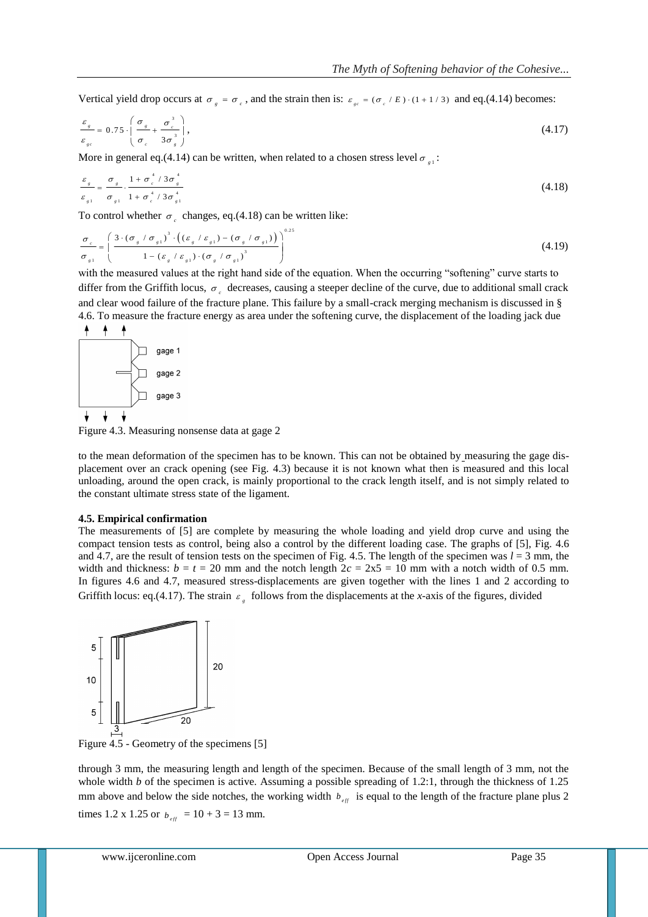Vertical yield drop occurs at  $\sigma_g = \sigma_g$ , and the strain then is:  $\varepsilon_{ge} = (\sigma_g / E) \cdot (1 + 1 / 3)$  and eq.(4.14) becomes:

$$
\frac{\varepsilon_s}{\varepsilon_{sc}} = 0.75 \cdot \left( \frac{\sigma_s}{\sigma_c} + \frac{\sigma_c^3}{3\sigma_s^3} \right),\tag{4.17}
$$

More in general eq.(4.14) can be written, when related to a chosen stress level  $\sigma_{\gamma}$ .

$$
\frac{\varepsilon_s}{\varepsilon_{s1}} = \frac{\sigma_s}{\sigma_{s1}} \cdot \frac{1 + \sigma_c^4 / 3 \sigma_s^4}{1 + \sigma_c^4 / 3 \sigma_{s1}^4}
$$
\n(4.18)

To control whether  $\sigma_{c}$  changes, eq.(4.18) can be written like:

$$
\frac{\sigma_c}{\sigma_{g1}} = \left(\frac{3\cdot(\sigma_g/\sigma_{g1})^3\cdot((\varepsilon_g/\varepsilon_{g1})-(\sigma_g/\sigma_{g1}))}{1-(\varepsilon_g/\varepsilon_{g1})\cdot(\sigma_g/\sigma_{g1})^3}\right)^{0.25}
$$
\n(4.19)

with the measured values at the right hand side of the equation. When the occurring "softening" curve starts to differ from the Griffith locus,  $\sigma_{\epsilon}$  decreases, causing a steeper decline of the curve, due to additional small crack and clear wood failure of the fracture plane. This failure by a small-crack merging mechanism is discussed in § 4.6. To measure the fracture energy as area under the softening curve, the displacement of the loading jack due



Figure 4.3. Measuring nonsense data at gage 2

to the mean deformation of the specimen has to be known. This can not be obtained by measuring the gage displacement over an crack opening (see Fig. 4.3) because it is not known what then is measured and this local unloading, around the open crack, is mainly proportional to the crack length itself, and is not simply related to the constant ultimate stress state of the ligament.

#### **4.5. Empirical confirmation**

The measurements of [5] are complete by measuring the whole loading and yield drop curve and using the compact tension tests as control, being also a control by the different loading case. The graphs of [5], Fig. 4.6 and 4.7, are the result of tension tests on the specimen of Fig. 4.5. The length of the specimen was  $l = 3$  mm, the width and thickness:  $b = t = 20$  mm and the notch length  $2c = 2x5 = 10$  mm with a notch width of 0.5 mm. In figures 4.6 and 4.7, measured stress-displacements are given together with the lines 1 and 2 according to Griffith locus: eq.(4.17). The strain  $\varepsilon$ <sub>s</sub> follows from the displacements at the *x*-axis of the figures, divided



Figure 4.5 - Geometry of the specimens [5]

through 3 mm, the measuring length and length of the specimen. Because of the small length of 3 mm, not the whole width *b* of the specimen is active. Assuming a possible spreading of 1.2:1, through the thickness of 1.25 mm above and below the side notches, the working width  $b_{\text{eff}}$  is equal to the length of the fracture plane plus 2 times 1.2 x 1.25 or  $b_{\text{eff}} = 10 + 3 = 13$  mm.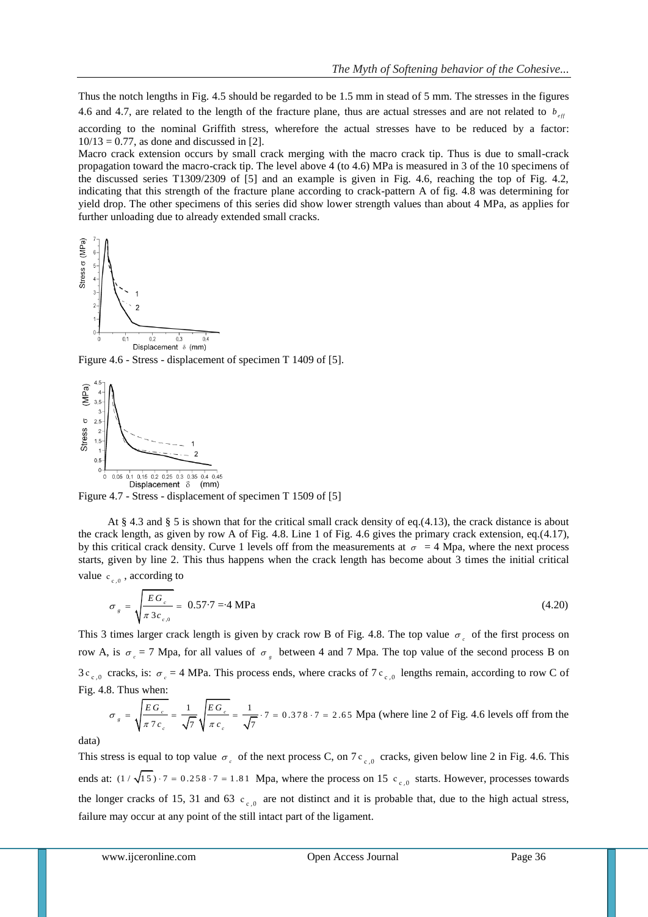Thus the notch lengths in Fig. 4.5 should be regarded to be 1.5 mm in stead of 5 mm. The stresses in the figures 4.6 and 4.7, are related to the length of the fracture plane, thus are actual stresses and are not related to  $b_{ef}$ 

according to the nominal Griffith stress, wherefore the actual stresses have to be reduced by a factor:  $10/13 = 0.77$ , as done and discussed in [2].

Macro crack extension occurs by small crack merging with the macro crack tip. Thus is due to small-crack propagation toward the macro-crack tip. The level above 4 (to 4.6) MPa is measured in 3 of the 10 specimens of the discussed series T1309/2309 of [5] and an example is given in Fig. 4.6, reaching the top of Fig. 4.2, indicating that this strength of the fracture plane according to crack-pattern A of fig. 4.8 was determining for yield drop. The other specimens of this series did show lower strength values than about 4 MPa, as applies for further unloading due to already extended small cracks.



Figure 4.6 - Stress - displacement of specimen T 1409 of [5].



Figure 4.7 - Stress - displacement of specimen T 1509 of [5]

At § 4.3 and § 5 is shown that for the critical small crack density of eq.(4.13), the crack distance is about the crack length, as given by row A of Fig. 4.8. Line 1 of Fig. 4.6 gives the primary crack extension, eq.(4.17), by this critical crack density. Curve 1 levels off from the measurements at  $\sigma = 4$  Mpa, where the next process starts, given by line 2. This thus happens when the crack length has become about 3 times the initial critical value  $c_{c,0}$ , according to

$$
\sigma_{g} = \sqrt{\frac{EG_{c}}{\pi 3c_{c,0}}} = 0.57.7 = 4 \text{ MPa}
$$
\n(4.20)

This 3 times larger crack length is given by crack row B of Fig. 4.8. The top value  $\sigma_c$  of the first process on row A, is  $\sigma_{c} = 7$  Mpa, for all values of  $\sigma_{g}$  between 4 and 7 Mpa. The top value of the second process B on  $3c_{c,0}$  cracks, is:  $\sigma_c = 4$  MPa. This process ends, where cracks of 7  $c_{c,0}$  lengths remain, according to row C of Fig. 4.8. Thus when:

3. Thus when:  
\n
$$
\sigma_{g} = \sqrt{\frac{EG_{c}}{\pi 7c_{c}}} = \frac{1}{\sqrt{7}} \sqrt{\frac{EG_{c}}{\pi c_{c}}} = \frac{1}{\sqrt{7}} \cdot 7 = 0.378 \cdot 7 = 2.65 \text{ Mpa (where line 2 of Fig. 4.6 levels off from the)}
$$

data)

This stress is equal to top value  $\sigma_c$  of the next process C, on 7 c<sub>c,0</sub> cracks, given below line 2 in Fig. 4.6. This ends at:  $(1/\sqrt{15}) \cdot 7 = 0.258 \cdot 7 = 1.81$  Mpa, where the process on 15  $c_{c,0}$  starts. However, processes towards the longer cracks of 15, 31 and 63  $c_{c,0}$  are not distinct and it is probable that, due to the high actual stress, failure may occur at any point of the still intact part of the ligament.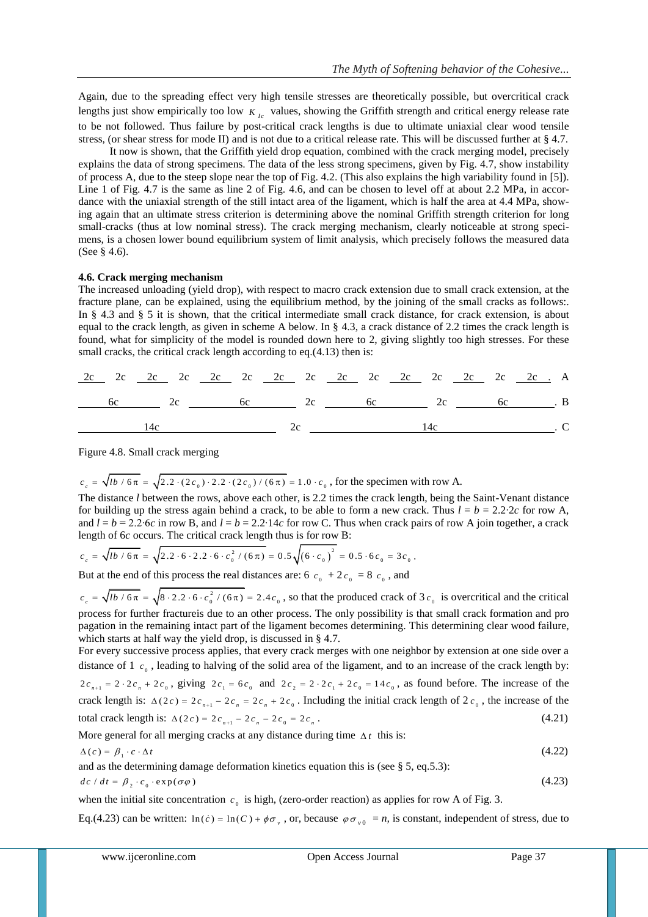Again, due to the spreading effect very high tensile stresses are theoretically possible, but overcritical crack lengths just show empirically too low  $K_{Ic}$  values, showing the Griffith strength and critical energy release rate to be not followed. Thus failure by post-critical crack lengths is due to ultimate uniaxial clear wood tensile stress, (or shear stress for mode II) and is not due to a critical release rate. This will be discussed further at § 4.7.

It now is shown, that the Griffith yield drop equation, combined with the crack merging model, precisely explains the data of strong specimens. The data of the less strong specimens, given by Fig. 4.7, show instability of process A, due to the steep slope near the top of Fig. 4.2. (This also explains the high variability found in [5]). Line 1 of Fig. 4.7 is the same as line 2 of Fig. 4.6, and can be chosen to level off at about 2.2 MPa, in accordance with the uniaxial strength of the still intact area of the ligament, which is half the area at 4.4 MPa, showing again that an ultimate stress criterion is determining above the nominal Griffith strength criterion for long small-cracks (thus at low nominal stress). The crack merging mechanism, clearly noticeable at strong specimens, is a chosen lower bound equilibrium system of limit analysis, which precisely follows the measured data (See § 4.6).

#### **4.6. Crack merging mechanism**

The increased unloading (yield drop), with respect to macro crack extension due to small crack extension, at the fracture plane, can be explained, using the equilibrium method, by the joining of the small cracks as follows:. In § 4.3 and § 5 it is shown, that the critical intermediate small crack distance, for crack extension, is about equal to the crack length, as given in scheme A below. In § 4.3, a crack distance of 2.2 times the crack length is found, what for simplicity of the model is rounded down here to 2, giving slightly too high stresses. For these small cracks, the critical crack length according to eq.(4.13) then is:

|  |  |  | 6c 6c 2c 6c 6c 6c 6c 6c 6c 6c 6c 5c 6c 5c 5c 6c 5c         |  |  |  |  |  |
|--|--|--|------------------------------------------------------------|--|--|--|--|--|
|  |  |  | $\frac{14c}{c}$ 14c 2c $\frac{14c}{c}$ 14c $\frac{14c}{c}$ |  |  |  |  |  |

Figure 4.8. Small crack merging

 $c_c = \sqrt{lb / 6\pi} = \sqrt{2.2 \cdot (2c_0) \cdot 2.2 \cdot (2c_0) / (6\pi)} = 1.0 \cdot c_0$ , for the specimen with row A.

The distance *l* between the rows, above each other, is 2.2 times the crack length, being the Saint-Venant distance for building up the stress again behind a crack, to be able to form a new crack. Thus  $l = b = 2.2 \cdot 2c$  for row A, and  $l = b = 2.2$ ∙6*c* in row B, and  $l = b = 2.2$ ∙14*c* for row C. Thus when crack pairs of row A join together, a crack

length of 6*c* occurs. The critical crack length thus is for row B:  

$$
c_c = \sqrt{lb / 6\pi} = \sqrt{2.2 \cdot 6 \cdot 2.2 \cdot 6 \cdot c_0^2 / (6\pi)} = 0.5 \sqrt{(6 \cdot c_0)^2} = 0.5 \cdot 6c_0 = 3c_0.
$$

But at the end of this process the real distances are: 6  $c_0 + 2c_0 = 8 c_0$ , and

2  $c_c = \sqrt{lb/6\pi} = \sqrt{8 \cdot 2.2 \cdot 6 \cdot c_0^2/(6\pi)} = 2.4 c_0$ , so that the produced crack of 3  $c_0$  is overcritical and the critical process for further fractureis due to an other process. The only possibility is that small crack formation and pro pagation in the remaining intact part of the ligament becomes determining. This determining clear wood failure, which starts at half way the yield drop, is discussed in § 4.7.

For every successive process applies, that every crack merges with one neighbor by extension at one side over a distance of  $1 \, c_{\text{o}}$ , leading to halving of the solid area of the ligament, and to an increase of the crack length by:  $2c_{n+1} = 2 \cdot 2c_n + 2c_0$ , giving  $2c_1 = 6c_0$  and  $2c_2 = 2 \cdot 2c_1 + 2c_0 = 14c_0$ , as found before. The increase of the crack length is:  $\Delta(2c) = 2c_{n+1} - 2c_n = 2c_n + 2c_0$ . Including the initial crack length of  $2c_0$ , the increase of the

total crack length is: 
$$
\Delta(2c) = 2c_{n+1} - 2c_n - 2c_0 = 2c_n
$$
. (4.21)

More general for all merging cracks at any distance during time  $\Delta t$  this is:

$$
\Delta(c) = \beta_1 \cdot c \cdot \Delta t \tag{4.22}
$$

and as the determining damage deformation kinetics equation this is (see § 5, eq.5.3):

$$
dc / dt = \beta_2 \cdot c_0 \cdot \exp(\sigma \varphi)
$$

when the initial site concentration  $c_0$  is high, (zero-order reaction) as applies for row A of Fig. 3.

Eq.(4.23) can be written:  $\ln(c) = \ln(C) + \phi \sigma_y$ , or, because  $\phi \sigma_{y0} = n$ , is constant, independent of stress, due to

(4.23)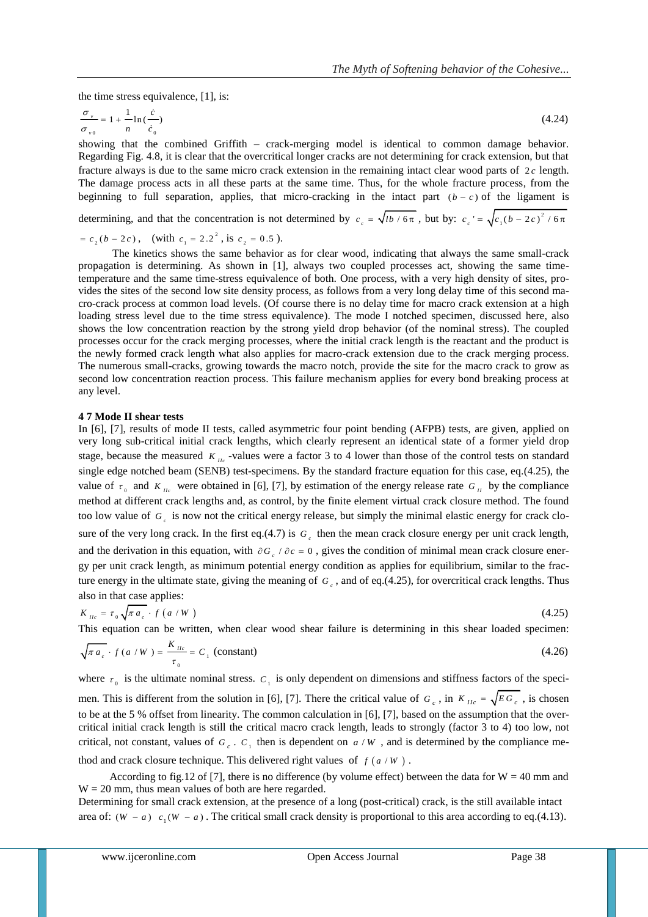the time stress equivalence, [1], is:

$$
\frac{\sigma_{\nu}}{\sigma_{\nu 0}} = 1 + \frac{1}{n} \ln \left( \frac{\dot{c}}{\dot{c}_0} \right) \tag{4.24}
$$

showing that the combined Griffith – crack-merging model is identical to common damage behavior. Regarding Fig. 4.8, it is clear that the overcritical longer cracks are not determining for crack extension, but that fracture always is due to the same micro crack extension in the remaining intact clear wood parts of  $2c$  length. The damage process acts in all these parts at the same time. Thus, for the whole fracture process, from the beginning to full separation, applies, that micro-cracking in the intact part  $(b - c)$  of the ligament is

determining, and that the concentration is not determined by  $c_c = \sqrt{lb/6\pi}$ , but by:  $c_c' = \sqrt{c_1(b-2c)^2/6\pi}$ 

$$
= c_2(b - 2c), \quad \text{(with } c_1 = 2.2^2, \text{ is } c_2 = 0.5 \text{)}.
$$

The kinetics shows the same behavior as for clear wood, indicating that always the same small-crack propagation is determining. As shown in [1], always two coupled processes act, showing the same timetemperature and the same time-stress equivalence of both. One process, with a very high density of sites, provides the sites of the second low site density process, as follows from a very long delay time of this second macro-crack process at common load levels. (Of course there is no delay time for macro crack extension at a high loading stress level due to the time stress equivalence). The mode I notched specimen, discussed here, also shows the low concentration reaction by the strong yield drop behavior (of the nominal stress). The coupled processes occur for the crack merging processes, where the initial crack length is the reactant and the product is the newly formed crack length what also applies for macro-crack extension due to the crack merging process. The numerous small-cracks, growing towards the macro notch, provide the site for the macro crack to grow as second low concentration reaction process. This failure mechanism applies for every bond breaking process at any level.

#### **4 7 Mode II shear tests**

In [6], [7], results of mode II tests, called asymmetric four point bending (AFPB) tests, are given, applied on very long sub-critical initial crack lengths, which clearly represent an identical state of a former yield drop stage, because the measured  $K_{Ic}$  -values were a factor 3 to 4 lower than those of the control tests on standard single edge notched beam (SENB) test-specimens. By the standard fracture equation for this case, eq.(4.25), the value of  $\tau_0$  and  $K_{Iic}$  were obtained in [6], [7], by estimation of the energy release rate  $G_{II}$  by the compliance method at different crack lengths and, as control, by the finite element virtual crack closure method. The found too low value of  $G<sub>c</sub>$  is now not the critical energy release, but simply the minimal elastic energy for crack closure of the very long crack. In the first eq.(4.7) is  $G_c$  then the mean crack closure energy per unit crack length, and the derivation in this equation, with  $\partial G_c / \partial c = 0$ , gives the condition of minimal mean crack closure energy per unit crack length, as minimum potential energy condition as applies for equilibrium, similar to the fracture energy in the ultimate state, giving the meaning of  $G_c$ , and of eq.(4.25), for overcritical crack lengths. Thus also in that case applies:

$$
K_{\mu_c} = \tau_0 \sqrt{\pi a_c} \cdot f\left(a/W\right)
$$
\n(4.25)

This equation can be written, when clear wood shear failure is determining in this shear loaded specimen:

$$
\sqrt{\pi a_c} \cdot f(a/W) = \frac{K_{\text{nc}}}{\tau_0} = C_1 \text{ (constant)}
$$
\n(4.26)

where  $\tau_0$  is the ultimate nominal stress.  $C_1$  is only dependent on dimensions and stiffness factors of the specimen. This is different from the solution in [6], [7]. There the critical value of  $G_c$ , in  $K_{IIc} = \sqrt{EG_c}$ , is chosen to be at the 5 % offset from linearity. The common calculation in [6], [7], based on the assumption that the overcritical initial crack length is still the critical macro crack length, leads to strongly (factor 3 to 4) too low, not critical, not constant, values of  $G_c$ .  $C_1$  then is dependent on  $a/W$ , and is determined by the compliance me-

thod and crack closure technique. This delivered right values of  $f(a/W)$ .

According to fig.12 of [7], there is no difference (by volume effect) between the data for  $W = 40$  mm and  $W = 20$  mm, thus mean values of both are here regarded.

Determining for small crack extension, at the presence of a long (post-critical) crack, is the still available intact area of:  $(W - a)$   $c_1(W - a)$ . The critical small crack density is proportional to this area according to eq.(4.13).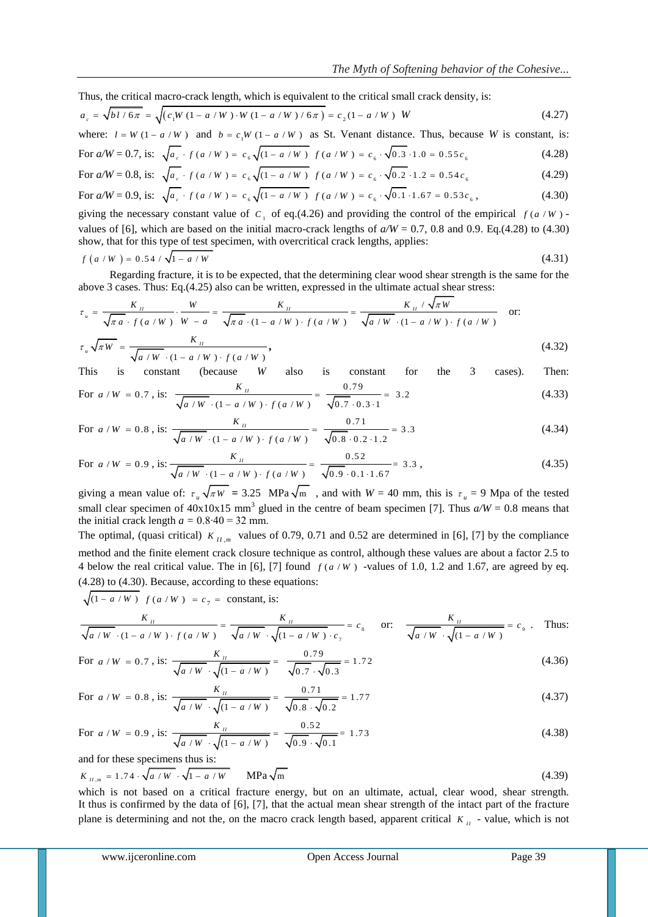Thus, the critical macro-crack length, which is equivalent to the critical small crack density, is:  
\n
$$
a_c = \sqrt{b l / 6\pi} = \sqrt{(c_1 W (1 - a/W) \cdot W (1 - a/W) / 6\pi)} = c_2 (1 - a/W) W
$$
\n(4.27)

where:  $l = W (1 - a/W)$  and  $b = c_1 W (1 - a/W)$  as St. Venant distance. Thus, because *W* is constant, is:

For 
$$
a/W = 0.7
$$
, is:  $\sqrt{a_c \cdot f(a/W)} = c_6 \sqrt{(1 - a/W)} f(a/W) = c_6 \cdot \sqrt{0.3 \cdot 1.0} = 0.55 c_6$  (4.28)  
For  $a/W = 0.8$ , is:  $\sqrt{a_c \cdot f(a/W)} = c_6 \sqrt{(1 - a/W)} f(a/W) = c_6 \cdot \sqrt{0.2 \cdot 1.2} = 0.54 c_6$  (4.29)

For 
$$
a/W = 0.9
$$
, is:  $\sqrt{a_c + f(a/W)} = c_6 \sqrt{(1 - a/W)} f(a/W) = c_6 \sqrt{0.1} \cdot 1.67 = 0.53 c_6$ , (4.30)

giving the necessary constant value of  $C_1$  of eq.(4.26) and providing the control of the empirical  $f(a/W)$ . values of [6], which are based on the initial macro-crack lengths of  $a/W = 0.7$ , 0.8 and 0.9. Eq.(4.28) to (4.30) show, that for this type of test specimen, with overcritical crack lengths, applies:

$$
f(a/W) = 0.54 / \sqrt{1 - a/W}
$$
\n(4.31)

Regarding fracture, it is to be expected, that the determining clear wood shear strength is the same for the

Regarding fracture, it is to be expected, that the determining clear wood shear strength is the same for the above 3 cases. Thus: Eq.(4.25) also can be written, expressed in the ultimate actual shear stress:  
\n
$$
\tau_u = \frac{K_{tt}}{\sqrt{\pi a} \cdot f(a/W)} \cdot \frac{W}{W-a} = \frac{K_{tt}}{\sqrt{\pi a} \cdot (1 - a/W) \cdot f(a/W)} = \frac{K_{tt} / \sqrt{\pi W}}{\sqrt{a/W} \cdot (1 - a/W) \cdot f(a/W)}
$$
or:  
\n
$$
\tau_u \sqrt{\pi W} = \frac{K_{tt}}{\sqrt{\pi a} \cdot f(a/W)}
$$
(4.32)

$$
\tau_u \sqrt{\pi} W = \frac{W_u}{\sqrt{a/W} \cdot (1 - a/W) \cdot f(a/W)},
$$
\n(4.32)

This is constant (because *W* also is constant for the 3 cases). Then:  $K_{II}$ 0 .7 9 (4.33)

For 
$$
a/W = 0.7
$$
, is: 
$$
\frac{R_H}{\sqrt{a/W} \cdot (1 - a/W) \cdot f(a/W)} = \frac{0.75}{\sqrt{0.7} \cdot 0.3 \cdot 1} = 3.2
$$
 (4.33)

For 
$$
a/W = 0.8
$$
, is: 
$$
\frac{K_{H}}{\sqrt{a/W} \cdot (1 - a/W) \cdot f(a/W)} = \frac{0.71}{\sqrt{0.8} \cdot 0.2 \cdot 1.2} = 3.3
$$
 (4.34)

For 
$$
a/W = 0.9
$$
, is: 
$$
\frac{K_H}{\sqrt{a/W} \cdot (1 - a/W) \cdot f(a/W)} = \frac{0.52}{\sqrt{0.9} \cdot 0.1 \cdot 1.67} = 3.3,
$$
 (4.35)

giving a mean value of:  $\tau_u \sqrt{\pi w} = 3.25 \text{ MPa } \sqrt{\pi m}$ , and with  $W = 40 \text{ mm}$ , this is  $\tau_u = 9 \text{ Mpa of the tested}$ small clear specimen of  $40x10x15$  mm<sup>3</sup> glued in the centre of beam specimen [7]. Thus  $a/W = 0.8$  means that the initial crack length  $a = 0.8 \cdot 40 = 32$  mm.

The optimal, (quasi critical)  $K_{H,m}$  values of 0.79, 0.71 and 0.52 are determined in [6], [7] by the compliance method and the finite element crack closure technique as control, although these values are about a factor 2.5 to 4 below the real critical value. The in [6], [7] found  $f(a/W)$  -values of 1.0, 1.2 and 1.67, are agreed by eq. (4.28) to (4.30). Because, according to these equations:

$$
\sqrt{(1 - a/W)} \quad f(a/W) = c_7 = \text{constant, is:}
$$

$$
\sqrt{(1 - a/W) f(a/W)} = c_7 = \text{constant, is:}
$$
\n
$$
\frac{K_{\text{II}}}{\sqrt{a/W} \cdot (1 - a/W) \cdot f(a/W)} = \frac{K_{\text{II}}}{\sqrt{a/W} \cdot \sqrt{(1 - a/W) \cdot c_7}} = c_8 \quad \text{or:} \quad \frac{K_{\text{II}}}{\sqrt{a/W} \cdot \sqrt{(1 - a/W)}} = c_9 \quad \text{Thus:}
$$

For 
$$
a/W = 0.7
$$
, is:  $\frac{K_H}{\sqrt{a/W} \cdot \sqrt{(1 - a/W)}} = \frac{0.79}{\sqrt{0.7} \cdot \sqrt{0.3}} = 1.72$  (4.36)

For 
$$
a/W = 0.8
$$
, is: 
$$
\frac{K_{tt}}{\sqrt{a/W} \cdot \sqrt{(1 - a/W)}} = \frac{0.71}{\sqrt{0.8} \cdot \sqrt{0.2}} = 1.77
$$
(4.37)

For 
$$
a/W = 0.9
$$
, is: 
$$
\frac{K_H}{\sqrt{a/W} \cdot \sqrt{(1 - a/W)}} = \frac{0.52}{\sqrt{0.9} \cdot \sqrt{0.1}} = 1.73
$$
(4.38)

and for these specimens thus is:

$$
K_{\mu,\mathfrak{m}} = 1.74 \cdot \sqrt{a/W} \cdot \sqrt{1 - a/W}
$$
 MPa $\sqrt{\mathfrak{m}}$  (4.39)

which is not based on a critical fracture energy, but on an ultimate, actual, clear wood, shear strength. It thus is confirmed by the data of [6], [7], that the actual mean shear strength of the intact part of the fracture plane is determining and not the, on the macro crack length based, apparent critical  $K<sub>H</sub>$  - value, which is not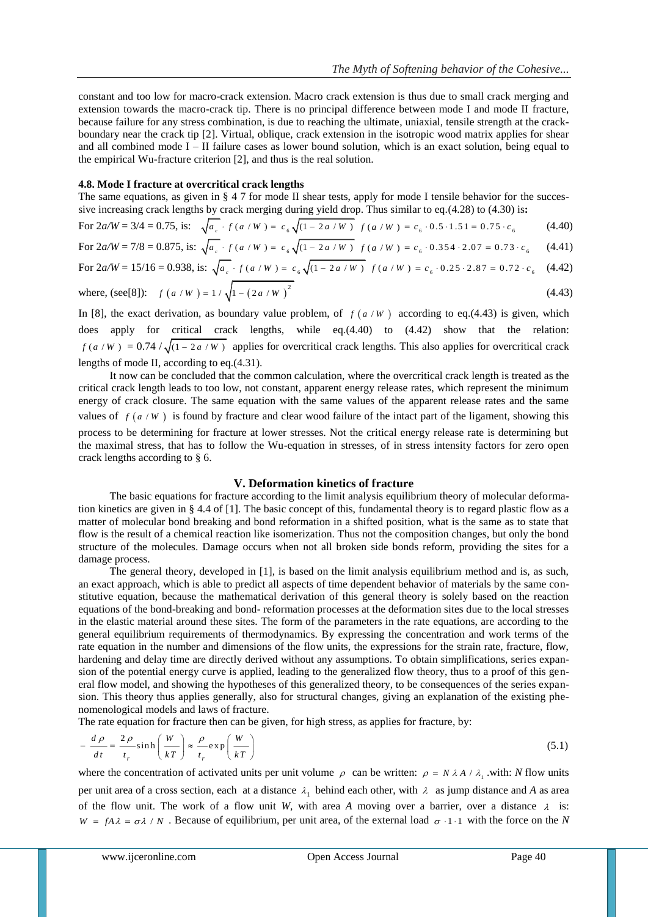constant and too low for macro-crack extension. Macro crack extension is thus due to small crack merging and extension towards the macro-crack tip. There is no principal difference between mode I and mode II fracture, because failure for any stress combination, is due to reaching the ultimate, uniaxial, tensile strength at the crackboundary near the crack tip [2]. Virtual, oblique, crack extension in the isotropic wood matrix applies for shear and all combined mode  $I - II$  failure cases as lower bound solution, which is an exact solution, being equal to the empirical Wu-fracture criterion [2], and thus is the real solution.

#### **4.8. Mode I fracture at overcritical crack lengths**

The same equations, as given in § 4.7 for mode II shear tests, apply for mode I tensile behavior for the successive increasing crack lengths by crack merging during yield drop. Thus similar to eq.(4.28) to (4.30) is**:** 

For 
$$
2a/W = 3/4 = 0.75
$$
, is:  $\sqrt{a_c} \cdot f(a/W) = c_6 \sqrt{(1 - 2a/W)} f(a/W) = c_6 \cdot 0.5 \cdot 1.51 = 0.75 \cdot c_6$  (4.40)

For 
$$
2a/W = 7/8 = 0.875
$$
, is:  $\sqrt{a_c \cdot f(a/W)} = c_6 \sqrt{(1 - 2a/W)} f(a/W) = c_6 \cdot 0.354 \cdot 2.07 = 0.73 \cdot c_6$  (4.41)

For 
$$
2a/W = 15/16 = 0.938
$$
, is:  $\sqrt{a_c} \cdot f(a/W) = c_6 \sqrt{(1 - 2a/W)} f(a/W) = c_6 \cdot 0.25 \cdot 2.87 = 0.72 \cdot c_6$  (4.42)

where, (see [8]): 
$$
f(a/W) = 1/\sqrt{1 - (2a/W)^2}
$$
 (4.43)

In [8], the exact derivation, as boundary value problem, of  $f(a/W)$  according to eq.(4.43) is given, which does apply for critical crack lengths, while eq.(4.40) to (4.42) show that the relation:  $f(a/W) = 0.74 / \sqrt{(1 - 2a/W)}$  applies for overcritical crack lengths. This also applies for overcritical crack lengths of mode II, according to eq.(4.31).

It now can be concluded that the common calculation, where the overcritical crack length is treated as the critical crack length leads to too low, not constant, apparent energy release rates, which represent the minimum energy of crack closure. The same equation with the same values of the apparent release rates and the same values of  $f(a/W)$  is found by fracture and clear wood failure of the intact part of the ligament, showing this process to be determining for fracture at lower stresses. Not the critical energy release rate is determining but the maximal stress, that has to follow the Wu-equation in stresses, of in stress intensity factors for zero open crack lengths according to § 6.

#### **V. Deformation kinetics of fracture**

The basic equations for fracture according to the limit analysis equilibrium theory of molecular deformation kinetics are given in § 4.4 of [1]. The basic concept of this, fundamental theory is to regard plastic flow as a matter of molecular bond breaking and bond reformation in a shifted position, what is the same as to state that flow is the result of a chemical reaction like isomerization. Thus not the composition changes, but only the bond structure of the molecules. Damage occurs when not all broken side bonds reform, providing the sites for a damage process.

The general theory, developed in [1], is based on the limit analysis equilibrium method and is, as such, an exact approach, which is able to predict all aspects of time dependent behavior of materials by the same constitutive equation, because the mathematical derivation of this general theory is solely based on the reaction equations of the bond-breaking and bond- reformation processes at the deformation sites due to the local stresses in the elastic material around these sites. The form of the parameters in the rate equations, are according to the general equilibrium requirements of thermodynamics. By expressing the concentration and work terms of the rate equation in the number and dimensions of the flow units, the expressions for the strain rate, fracture, flow, hardening and delay time are directly derived without any assumptions. To obtain simplifications, series expansion of the potential energy curve is applied, leading to the generalized flow theory, thus to a proof of this general flow model, and showing the hypotheses of this generalized theory, to be consequences of the series expansion. This theory thus applies generally, also for structural changes, giving an explanation of the existing phenomenological models and laws of fracture.

The rate equation for fracture then can be given, for high stress, as applies for fracture, by:  
\n
$$
-\frac{d\rho}{dt} = \frac{2\rho}{t_r} \sinh\left(\frac{W}{kT}\right) \approx \frac{\rho}{t_r} \exp\left(\frac{W}{kT}\right)
$$
\n(5.1)

where the concentration of activated units per unit volume  $\rho$  can be written:  $\rho = N \lambda A / \lambda_1$  with: *N* flow units per unit area of a cross section, each at a distance  $\lambda_1$  behind each other, with  $\lambda$  as jump distance and A as area of the flow unit. The work of a flow unit *W*, with area *A* moving over a barrier, over a distance  $\lambda$  is:  $W = fA\lambda = \sigma\lambda / N$ . Because of equilibrium, per unit area, of the external load  $\sigma \cdot 1 \cdot 1$  with the force on the *N*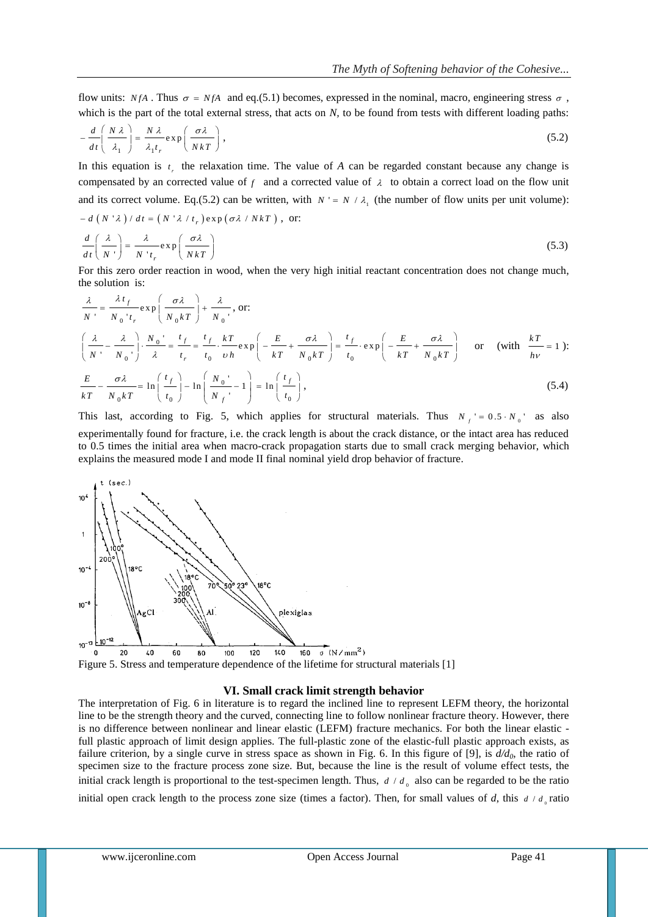flow units:  $N_fA$ . Thus  $\sigma = N_fA$  and eq.(5.1) becomes, expressed in the nominal, macro, engineering stress  $\sigma$ , which is the part of the total external stress, that acts on *N*, to be found from tests with different loading paths:

$$
-\frac{d}{dt}\left(\frac{N\lambda}{\lambda_1}\right) = \frac{N\lambda}{\lambda_1 t_r} \exp\left(\frac{\sigma\lambda}{NkT}\right),
$$
\n(5.2)

In this equation is  $t<sub>r</sub>$  the relaxation time. The value of *A* can be regarded constant because any change is compensated by an corrected value of  $f$  and a corrected value of  $\lambda$  to obtain a correct load on the flow unit and its correct volume. Eq.(5.2) can be written, with  $N' = N / \lambda_1$  (the number of flow units per unit volume):  $-d(N \lambda)/dt = (N \lambda/t_r) \exp(\sigma \lambda/NkT),$  or:

$$
\frac{d}{dt}\left(\frac{\lambda}{N}\right) = \frac{\lambda}{N't_r} \exp\left(\frac{\sigma\lambda}{NkT}\right)
$$
\n(5.3)

For this zero order reaction in wood, when the very high initial reactant concentration does not change much, the solution is:

$$
\frac{\lambda}{N'} = \frac{\lambda t_f}{N_0't_r} \exp\left(\frac{\sigma \lambda}{N_0 kT}\right) + \frac{\lambda}{N_0'}, \text{ or:}
$$
\n
$$
\left(\frac{\lambda}{N'} - \frac{\lambda}{N_0'}\right) \cdot \frac{N_0'}{\lambda} = \frac{t_f}{t_r} = \frac{t_f}{t_0} \cdot \frac{kT}{vh} \exp\left(-\frac{E}{kT} + \frac{\sigma \lambda}{N_0 kT}\right) = \frac{t_f}{t_0} \cdot \exp\left(-\frac{E}{kT} + \frac{\sigma \lambda}{N_0 kT}\right) \text{ or } (\text{with } \frac{kT}{hv} = 1):
$$
\n
$$
E \qquad \sigma \lambda \qquad \text{or} \qquad \left(\frac{t_f}{h} + \frac{\mu}{h} \right) = \frac{\mu \left(\frac{t_f}{h}\right)}{h} \tag{5.4}
$$

$$
\frac{E}{kT} - \frac{\sigma \lambda}{N_0 kT} = \ln\left(\frac{t_f}{t_0}\right) - \ln\left(\frac{N_0}{N_f}\right) - 1\right) = \ln\left(\frac{t_f}{t_0}\right),\tag{5.4}
$$

This last, according to Fig. 5, which applies for structural materials. Thus  $N_f' = 0.5 \cdot N_0'$  as also experimentally found for fracture, i.e. the crack length is about the crack distance, or the intact area has reduced to 0.5 times the initial area when macro-crack propagation starts due to small crack merging behavior, which explains the measured mode I and mode II final nominal yield drop behavior of fracture.



Figure 5. Stress and temperature dependence of the lifetime for structural materials [1]

#### **VI. Small crack limit strength behavior**

The interpretation of Fig. 6 in literature is to regard the inclined line to represent LEFM theory, the horizontal line to be the strength theory and the curved, connecting line to follow nonlinear fracture theory. However, there is no difference between nonlinear and linear elastic (LEFM) fracture mechanics. For both the linear elastic full plastic approach of limit design applies. The full-plastic zone of the elastic-full plastic approach exists, as failure criterion, by a single curve in stress space as shown in Fig. 6. In this figure of [9], is *d/d0*, the ratio of specimen size to the fracture process zone size. But, because the line is the result of volume effect tests, the initial crack length is proportional to the test-specimen length. Thus,  $d / d_0$  also can be regarded to be the ratio initial open crack length to the process zone size (times a factor). Then, for small values of *d*, this  $d / d_0$  ratio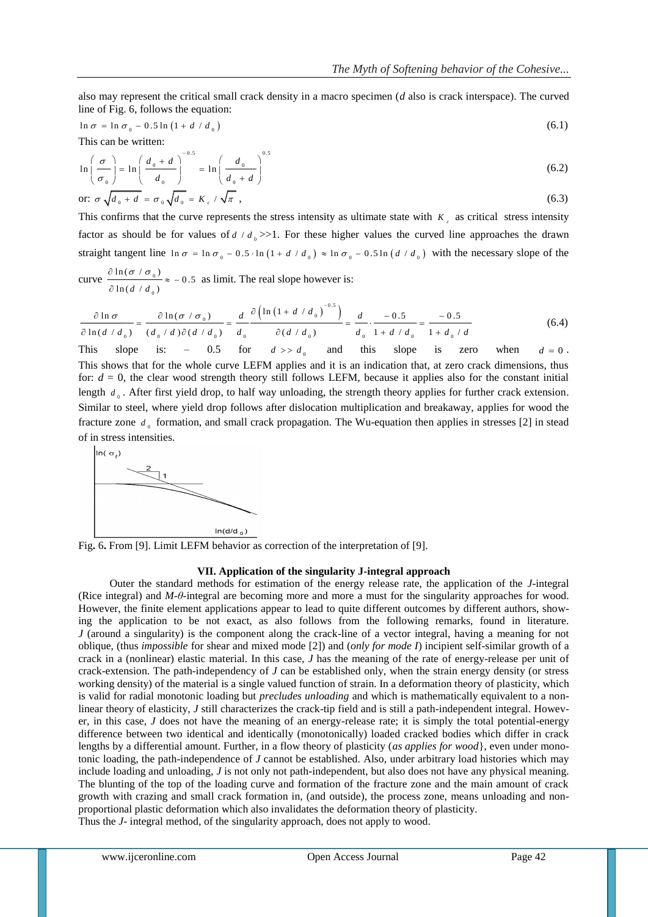also may represent the critical small crack density in a macro specimen (*d* also is crack interspace). The curved line of Fig. 6, follows the equation:

$$
\ln \sigma = \ln \sigma_0 - 0.5 \ln (1 + d / d_0) \tag{6.1}
$$

This can be written:

$$
\ln\left(\frac{\sigma}{\sigma_0}\right) = \ln\left(\frac{d_0 + d}{d_0}\right)^{-0.5} = \ln\left(\frac{d_0}{d_0 + d}\right)^{0.5}
$$
\nor:

\n
$$
\sigma \sqrt{d_0 + d} = \sigma_0 \sqrt{d_0} = K_c / \sqrt{\pi}
$$
\n(6.3)

This confirms that the curve represents the stress intensity as ultimate state with  $K<sub>c</sub>$  as critical stress intensity factor as should be for values of  $d / d_0 \gg 1$ . For these higher values the curved line approaches the drawn straight tangent line  $\ln \sigma = \ln \sigma_0 - 0.5 \cdot \ln (1 + d / d_0) \approx \ln \sigma_0 - 0.5 \ln (d / d_0)$  with the necessary slope of the

curve  $\frac{\sin(\theta + \theta_0)}{2}$  $\mathbf{0}$  $\frac{\ln(\sigma / \sigma_0)}{2} \approx -0.5$  $\ln (d / d_{0})$  $\frac{\partial \ln(\sigma / \sigma_0)}{\partial \sigma_0} \approx -0$  $\hat{c}$ as limit. The real slope however is:

curve 
$$
\frac{\partial \ln \sigma}{\partial \ln(d/d_0)} \approx -0.5
$$
 as limit. The real slope however is:  
\n
$$
\frac{\partial \ln \sigma}{\partial \ln(d/d_0)} = \frac{\partial \ln(\sigma/\sigma_0)}{(d_0/d)\partial(d/d_0)} = \frac{d}{d_0} \frac{\partial (\ln(1+d/d_0))^{-0.5})}{\partial(d/d_0)} = \frac{d}{d_0} \cdot \frac{-0.5}{1+d/d_0} = \frac{-0.5}{1+d_0/d}
$$
(6.4)

This slope is: – 0.5 for  $d \gg d_{0}$ and this slope is zero when  $d = 0$ . This shows that for the whole curve LEFM applies and it is an indication that, at zero crack dimensions, thus for:  $d = 0$ , the clear wood strength theory still follows LEFM, because it applies also for the constant initial length  $d_0$ . After first yield drop, to half way unloading, the strength theory applies for further crack extension. Similar to steel, where yield drop follows after dislocation multiplication and breakaway, applies for wood the fracture zone  $d_{\theta}$  formation, and small crack propagation. The Wu-equation then applies in stresses [2] in stead of in stress intensities.



Fig**.** 6**.** From [9]. Limit LEFM behavior as correction of the interpretation of [9].

#### **VII. Application of the singularity J-integral approach**

Outer the standard methods for estimation of the energy release rate, the application of the *J*-integral (Rice integral) and *M-θ*-integral are becoming more and more a must for the singularity approaches for wood. However, the finite element applications appear to lead to quite different outcomes by different authors, showing the application to be not exact, as also follows from the following remarks, found in literature. *J* (around a singularity) is the component along the crack-line of a vector integral, having a meaning for not oblique, (thus *impossible* for shear and mixed mode [2]) and (*only for mode I*) incipient self-similar growth of a crack in a (nonlinear) elastic material. In this case, *J* has the meaning of the rate of energy-release per unit of crack-extension. The path-independency of *J* can be established only, when the strain energy density (or stress working density) of the material is a single valued function of strain. In a deformation theory of plasticity, which is valid for radial monotonic loading but *precludes unloading* and which is mathematically equivalent to a nonlinear theory of elasticity, *J* still characterizes the crack-tip field and is still a path-independent integral. However, in this case, *J* does not have the meaning of an energy-release rate; it is simply the total potential-energy difference between two identical and identically (monotonically) loaded cracked bodies which differ in crack lengths by a differential amount. Further, in a flow theory of plasticity (*as applies for wood*}, even under monotonic loading, the path-independence of *J* cannot be established. Also, under arbitrary load histories which may include loading and unloading, *J* is not only not path-independent, but also does not have any physical meaning. The blunting of the top of the loading curve and formation of the fracture zone and the main amount of crack growth with crazing and small crack formation in, (and outside), the process zone, means unloading and nonproportional plastic deformation which also invalidates the deformation theory of plasticity. Thus the *J*- integral method, of the singularity approach, does not apply to wood.